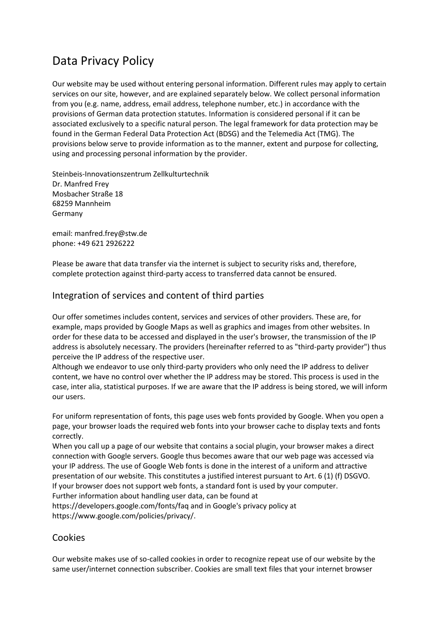# Data Privacy Policy

Our website may be used without entering personal information. Different rules may apply to certain services on our site, however, and are explained separately below. We collect personal information from you (e.g. name, address, email address, telephone number, etc.) in accordance with the provisions of German data protection statutes. Information is considered personal if it can be associated exclusively to a specific natural person. The legal framework for data protection may be found in the German Federal Data Protection Act (BDSG) and the Telemedia Act (TMG). The provisions below serve to provide information as to the manner, extent and purpose for collecting, using and processing personal information by the provider.

Steinbeis-Innovationszentrum Zellkulturtechnik Dr. Manfred Frey Mosbacher Straße 18 68259 Mannheim Germany

email: manfred.frey@stw.de phone: +49 621 2926222

Please be aware that data transfer via the internet is subject to security risks and, therefore, complete protection against third-party access to transferred data cannot be ensured.

# Integration of services and content of third parties

Our offer sometimes includes content, services and services of other providers. These are, for example, maps provided by Google Maps as well as graphics and images from other websites. In order for these data to be accessed and displayed in the user's browser, the transmission of the IP address is absolutely necessary. The providers (hereinafter referred to as "third-party provider") thus perceive the IP address of the respective user.

Although we endeavor to use only third-party providers who only need the IP address to deliver content, we have no control over whether the IP address may be stored. This process is used in the case, inter alia, statistical purposes. If we are aware that the IP address is being stored, we will inform our users.

For uniform representation of fonts, this page uses web fonts provided by Google. When you open a page, your browser loads the required web fonts into your browser cache to display texts and fonts correctly.

When you call up a page of our website that contains a social plugin, your browser makes a direct connection with Google servers. Google thus becomes aware that our web page was accessed via your IP address. The use of Google Web fonts is done in the interest of a uniform and attractive presentation of our website. This constitutes a justified interest pursuant to Art. 6 (1) (f) DSGVO. If your browser does not support web fonts, a standard font is used by your computer.

Further information about handling user data, can be found at

https://developers.google.com/fonts/faq and in Google's privacy policy at https://www.google.com/policies/privacy/.

# Cookies

Our website makes use of so-called cookies in order to recognize repeat use of our website by the same user/internet connection subscriber. Cookies are small text files that your internet browser